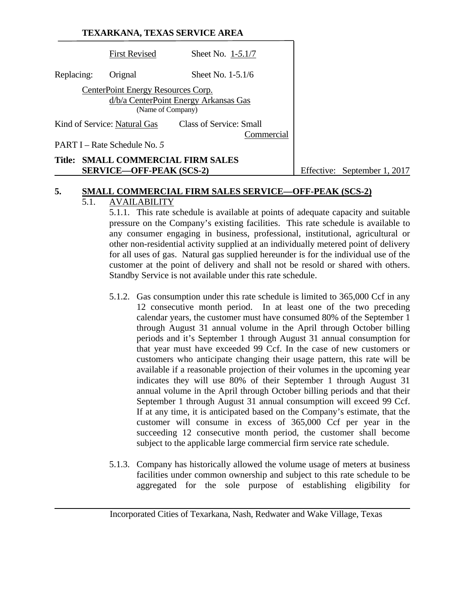|                                                         | <b>First Revised</b>                                                                   | Sheet No. $1-5.1/7$                   |  |
|---------------------------------------------------------|----------------------------------------------------------------------------------------|---------------------------------------|--|
| Replacing:                                              | Orignal                                                                                | Sheet No. $1-5.1/6$                   |  |
|                                                         | CenterPoint Energy Resources Corp.                                                     |                                       |  |
|                                                         |                                                                                        | d/b/a CenterPoint Energy Arkansas Gas |  |
| (Name of Company)                                       |                                                                                        |                                       |  |
| Class of Service: Small<br>Kind of Service: Natural Gas |                                                                                        |                                       |  |
|                                                         |                                                                                        | Commercial                            |  |
| PART I – Rate Schedule No. 5                            |                                                                                        |                                       |  |
|                                                         | Title: SMALL COMMERCIAL FIRM SALES<br>$CFDVICE = \Omega E E DFA E / CCE \ \mathcal{D}$ |                                       |  |

Effective: September 1, 2017

#### **5. SMALL COMMERCIAL FIRM SALES SERVICE—OFF-PEAK (SCS-2)**

# 5.1. AVAILABILITY

5.1.1. This rate schedule is available at points of adequate capacity and suitable pressure on the Company's existing facilities. This rate schedule is available to any consumer engaging in business, professional, institutional, agricultural or other non-residential activity supplied at an individually metered point of delivery for all uses of gas. Natural gas supplied hereunder is for the individual use of the customer at the point of delivery and shall not be resold or shared with others. Standby Service is not available under this rate schedule.

- 5.1.2. Gas consumption under this rate schedule is limited to 365,000 Ccf in any 12 consecutive month period. In at least one of the two preceding calendar years, the customer must have consumed 80% of the September 1 through August 31 annual volume in the April through October billing periods and it's September 1 through August 31 annual consumption for that year must have exceeded 99 Ccf. In the case of new customers or customers who anticipate changing their usage pattern, this rate will be available if a reasonable projection of their volumes in the upcoming year indicates they will use 80% of their September 1 through August 31 annual volume in the April through October billing periods and that their September 1 through August 31 annual consumption will exceed 99 Ccf. If at any time, it is anticipated based on the Company's estimate, that the customer will consume in excess of 365,000 Ccf per year in the succeeding 12 consecutive month period, the customer shall become subject to the applicable large commercial firm service rate schedule.
- 5.1.3. Company has historically allowed the volume usage of meters at business facilities under common ownership and subject to this rate schedule to be aggregated for the sole purpose of establishing eligibility for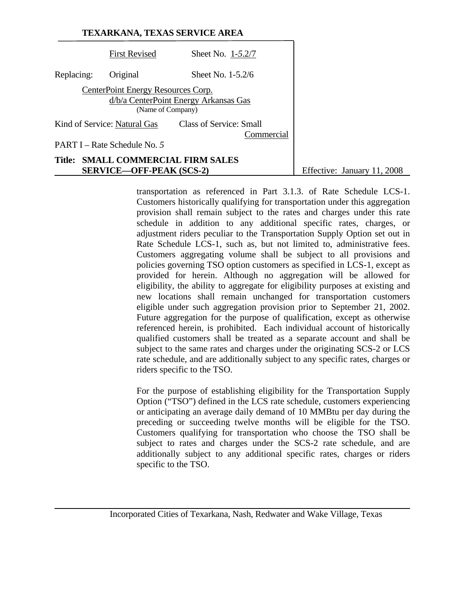|                                                                       | <b>First Revised</b>               | Sheet No. $1-5.2/7$                   |  |
|-----------------------------------------------------------------------|------------------------------------|---------------------------------------|--|
| Replacing:                                                            | Original                           | Sheet No. 1-5.2/6                     |  |
|                                                                       | CenterPoint Energy Resources Corp. |                                       |  |
|                                                                       |                                    | d/b/a CenterPoint Energy Arkansas Gas |  |
| (Name of Company)                                                     |                                    |                                       |  |
| Class of Service: Small<br>Kind of Service: Natural Gas               |                                    |                                       |  |
| Commercial                                                            |                                    |                                       |  |
| PART I – Rate Schedule No. 5                                          |                                    |                                       |  |
| <b>Title: SMALL COMMERCIAL FIRM SALES</b><br>SEDVICE OFF-DEAK (SCS-2) |                                    |                                       |  |

Effective: January 11, 2008

transportation as referenced in Part 3.1.3. of Rate Schedule LCS-1. Customers historically qualifying for transportation under this aggregation provision shall remain subject to the rates and charges under this rate schedule in addition to any additional specific rates, charges, or adjustment riders peculiar to the Transportation Supply Option set out in Rate Schedule LCS-1, such as, but not limited to, administrative fees. Customers aggregating volume shall be subject to all provisions and policies governing TSO option customers as specified in LCS-1, except as provided for herein. Although no aggregation will be allowed for eligibility, the ability to aggregate for eligibility purposes at existing and new locations shall remain unchanged for transportation customers eligible under such aggregation provision prior to September 21, 2002. Future aggregation for the purpose of qualification, except as otherwise referenced herein, is prohibited. Each individual account of historically qualified customers shall be treated as a separate account and shall be subject to the same rates and charges under the originating SCS-2 or LCS rate schedule, and are additionally subject to any specific rates, charges or riders specific to the TSO.

For the purpose of establishing eligibility for the Transportation Supply Option ("TSO") defined in the LCS rate schedule, customers experiencing or anticipating an average daily demand of 10 MMBtu per day during the preceding or succeeding twelve months will be eligible for the TSO. Customers qualifying for transportation who choose the TSO shall be subject to rates and charges under the SCS-2 rate schedule, and are additionally subject to any additional specific rates, charges or riders specific to the TSO.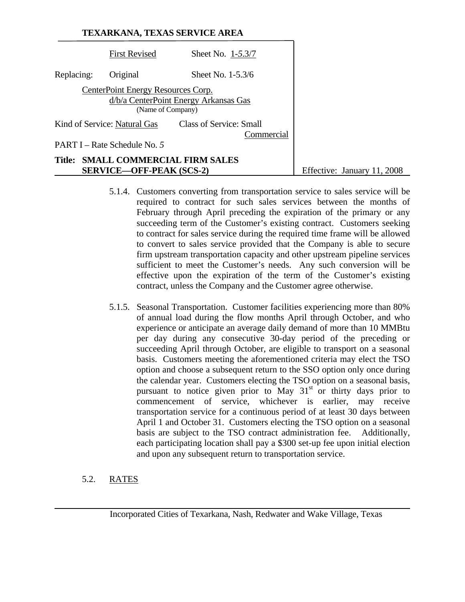|                                                         | <b>First Revised</b>                                                    | Sheet No. 1-5.3/7                     |  |
|---------------------------------------------------------|-------------------------------------------------------------------------|---------------------------------------|--|
| Replacing:                                              | Original                                                                | Sheet No. 1-5.3/6                     |  |
|                                                         | CenterPoint Energy Resources Corp.                                      |                                       |  |
|                                                         |                                                                         | d/b/a CenterPoint Energy Arkansas Gas |  |
| (Name of Company)                                       |                                                                         |                                       |  |
| Class of Service: Small<br>Kind of Service: Natural Gas |                                                                         |                                       |  |
|                                                         |                                                                         | Commercial                            |  |
| PART I – Rate Schedule No. 5                            |                                                                         |                                       |  |
| Title:                                                  | <b>SMALL COMMERCIAL FIRM SALES</b><br>$C$ <b>EDITOR</b> OFF DEAL (COCA) |                                       |  |

**SERVICE—OFF-PEAK (SCS-2)** Effective: January 11, 2008

- 5.1.4. Customers converting from transportation service to sales service will be required to contract for such sales services between the months of February through April preceding the expiration of the primary or any succeeding term of the Customer's existing contract. Customers seeking to contract for sales service during the required time frame will be allowed to convert to sales service provided that the Company is able to secure firm upstream transportation capacity and other upstream pipeline services sufficient to meet the Customer's needs. Any such conversion will be effective upon the expiration of the term of the Customer's existing contract, unless the Company and the Customer agree otherwise.
- 5.1.5. Seasonal Transportation. Customer facilities experiencing more than 80% of annual load during the flow months April through October, and who experience or anticipate an average daily demand of more than 10 MMBtu per day during any consecutive 30-day period of the preceding or succeeding April through October, are eligible to transport on a seasonal basis. Customers meeting the aforementioned criteria may elect the TSO option and choose a subsequent return to the SSO option only once during the calendar year. Customers electing the TSO option on a seasonal basis, pursuant to notice given prior to May  $31<sup>st</sup>$  or thirty days prior to commencement of service, whichever is earlier, may receive transportation service for a continuous period of at least 30 days between April 1 and October 31. Customers electing the TSO option on a seasonal basis are subject to the TSO contract administration fee. Additionally, each participating location shall pay a \$300 set-up fee upon initial election and upon any subsequent return to transportation service.
- 5.2. RATES

Incorporated Cities of Texarkana, Nash, Redwater and Wake Village, Texas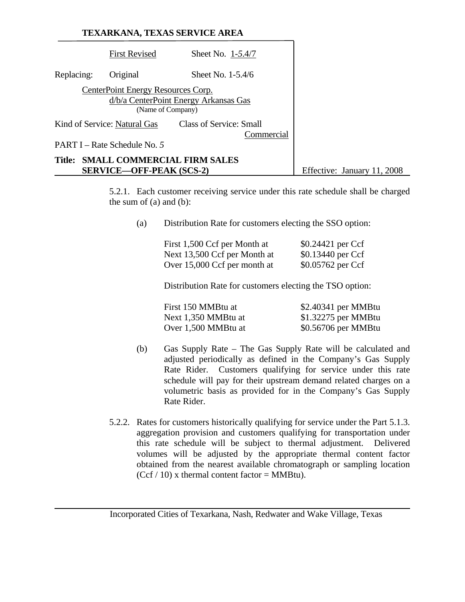|                                    | <b>First Revised</b>               | Sheet No. 1-5.4/7                     |                             |
|------------------------------------|------------------------------------|---------------------------------------|-----------------------------|
| Replacing:                         | Original                           | Sheet No. $1-5.4/6$                   |                             |
|                                    | CenterPoint Energy Resources Corp. |                                       |                             |
|                                    |                                    | d/b/a CenterPoint Energy Arkansas Gas |                             |
|                                    | (Name of Company)                  |                                       |                             |
|                                    | Kind of Service: Natural Gas       | Class of Service: Small               |                             |
|                                    |                                    | Commercial                            |                             |
|                                    | PART I – Rate Schedule No. 5       |                                       |                             |
| Title: SMALL COMMERCIAL FIRM SALES |                                    |                                       |                             |
|                                    | <b>SERVICE-OFF-PEAK (SCS-2)</b>    |                                       | Effective: January 11, 2008 |
|                                    |                                    |                                       |                             |

5.2.1. Each customer receiving service under this rate schedule shall be charged the sum of (a) and (b):

(a) Distribution Rate for customers electing the SSO option:

| First 1,500 Ccf per Month at | $$0.24421$ per Ccf |
|------------------------------|--------------------|
| Next 13,500 Ccf per Month at | $$0.13440$ per Ccf |
| Over 15,000 Ccf per month at | \$0.05762 per Ccf  |

Distribution Rate for customers electing the TSO option:

| First 150 MMBtu at  | \$2.40341 per MMBtu  |
|---------------------|----------------------|
| Next 1,350 MMBtu at | $$1.32275$ per MMBtu |
| Over 1,500 MMBtu at | \$0.56706 per MMBtu  |

- (b) Gas Supply Rate The Gas Supply Rate will be calculated and adjusted periodically as defined in the Company's Gas Supply Rate Rider. Customers qualifying for service under this rate schedule will pay for their upstream demand related charges on a volumetric basis as provided for in the Company's Gas Supply Rate Rider.
- 5.2.2. Rates for customers historically qualifying for service under the Part 5.1.3. aggregation provision and customers qualifying for transportation under this rate schedule will be subject to thermal adjustment. Delivered volumes will be adjusted by the appropriate thermal content factor obtained from the nearest available chromatograph or sampling location  $(Ccf / 10)$  x thermal content factor = MMBtu).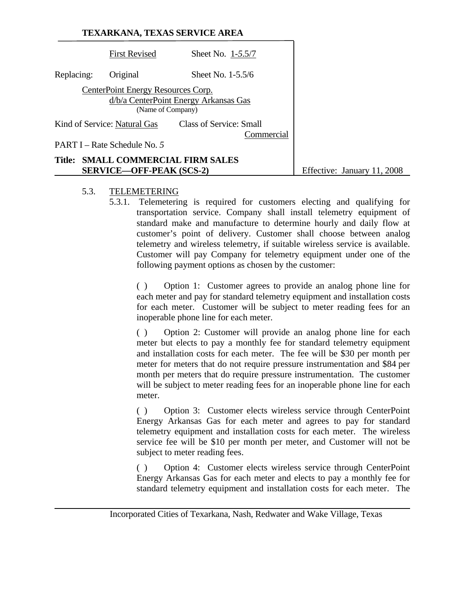|                                                         | <b>First Revised</b>               | Sheet No. $1-5.5/7$                   |  |
|---------------------------------------------------------|------------------------------------|---------------------------------------|--|
| Replacing:                                              | Original                           | Sheet No. $1-5.5/6$                   |  |
|                                                         | CenterPoint Energy Resources Corp. |                                       |  |
|                                                         |                                    | d/b/a CenterPoint Energy Arkansas Gas |  |
| (Name of Company)                                       |                                    |                                       |  |
| Class of Service: Small<br>Kind of Service: Natural Gas |                                    |                                       |  |
|                                                         |                                    | Commercial                            |  |
| PART I – Rate Schedule No. 5                            |                                    |                                       |  |
| Title: SMALL COMMERCIAL FIRM SALES<br>$\alpha$          |                                    |                                       |  |

**SERVICE—OFF-PEAK (SCS-2)** Effective: January 11, 2008

#### 5.3. TELEMETERING

5.3.1. Telemetering is required for customers electing and qualifying for transportation service. Company shall install telemetry equipment of standard make and manufacture to determine hourly and daily flow at customer's point of delivery. Customer shall choose between analog telemetry and wireless telemetry, if suitable wireless service is available. Customer will pay Company for telemetry equipment under one of the following payment options as chosen by the customer:

( ) Option 1: Customer agrees to provide an analog phone line for each meter and pay for standard telemetry equipment and installation costs for each meter. Customer will be subject to meter reading fees for an inoperable phone line for each meter.

( ) Option 2: Customer will provide an analog phone line for each meter but elects to pay a monthly fee for standard telemetry equipment and installation costs for each meter. The fee will be \$30 per month per meter for meters that do not require pressure instrumentation and \$84 per month per meters that do require pressure instrumentation. The customer will be subject to meter reading fees for an inoperable phone line for each meter.

( ) Option 3: Customer elects wireless service through CenterPoint Energy Arkansas Gas for each meter and agrees to pay for standard telemetry equipment and installation costs for each meter. The wireless service fee will be \$10 per month per meter, and Customer will not be subject to meter reading fees.

( ) Option 4: Customer elects wireless service through CenterPoint Energy Arkansas Gas for each meter and elects to pay a monthly fee for standard telemetry equipment and installation costs for each meter. The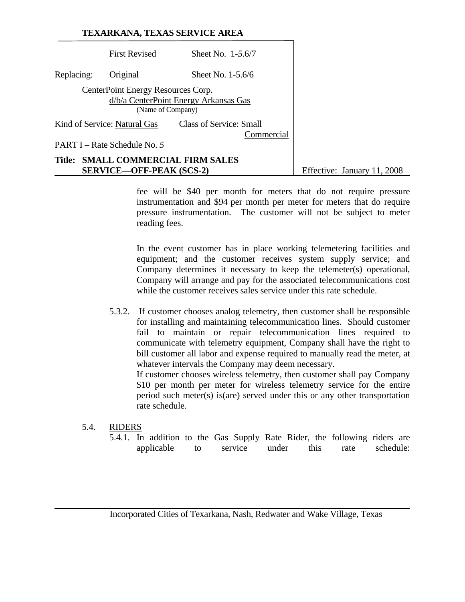|                                                         | <b>First Revised</b>               | Sheet No. $1-5.6/7$                   |   |
|---------------------------------------------------------|------------------------------------|---------------------------------------|---|
| Replacing:                                              | Original                           | Sheet No. $1-5.6/6$                   |   |
|                                                         | CenterPoint Energy Resources Corp. |                                       |   |
|                                                         |                                    | d/b/a CenterPoint Energy Arkansas Gas |   |
| (Name of Company)                                       |                                    |                                       |   |
| Class of Service: Small<br>Kind of Service: Natural Gas |                                    |                                       |   |
|                                                         |                                    | Commercial                            |   |
| PART I – Rate Schedule No. 5                            |                                    |                                       |   |
| <b>SMALL COMMERCIAL FIRM SALES</b><br>Title:            |                                    |                                       | ᠇ |

**SERVICE—OFF-PEAK (SCS-2)** Effective: January 11, 2008

fee will be \$40 per month for meters that do not require pressure instrumentation and \$94 per month per meter for meters that do require pressure instrumentation. The customer will not be subject to meter reading fees.

In the event customer has in place working telemetering facilities and equipment; and the customer receives system supply service; and Company determines it necessary to keep the telemeter(s) operational, Company will arrange and pay for the associated telecommunications cost while the customer receives sales service under this rate schedule.

5.3.2. If customer chooses analog telemetry, then customer shall be responsible for installing and maintaining telecommunication lines. Should customer fail to maintain or repair telecommunication lines required to communicate with telemetry equipment, Company shall have the right to bill customer all labor and expense required to manually read the meter, at whatever intervals the Company may deem necessary.

 If customer chooses wireless telemetry, then customer shall pay Company \$10 per month per meter for wireless telemetry service for the entire period such meter(s) is(are) served under this or any other transportation rate schedule.

#### 5.4. RIDERS

5.4.1. In addition to the Gas Supply Rate Rider, the following riders are applicable to service under this rate schedule: